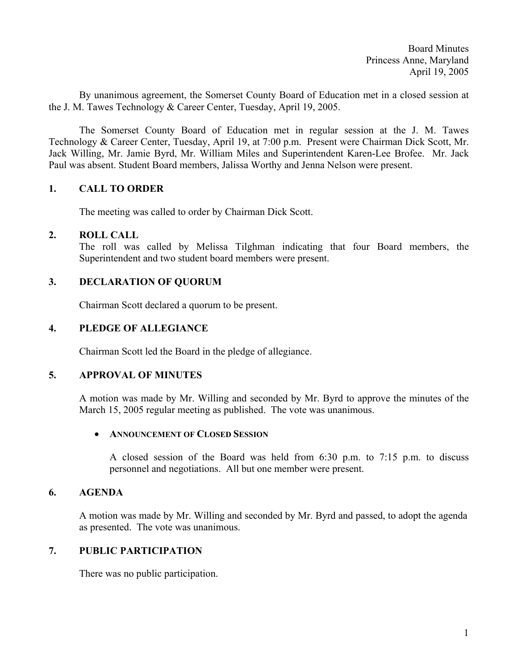Board Minutes Princess Anne, Maryland April 19, 2005

By unanimous agreement, the Somerset County Board of Education met in a closed session at the J. M. Tawes Technology & Career Center, Tuesday, April 19, 2005.

 The Somerset County Board of Education met in regular session at the J. M. Tawes Technology & Career Center, Tuesday, April 19, at 7:00 p.m. Present were Chairman Dick Scott, Mr. Jack Willing, Mr. Jamie Byrd, Mr. William Miles and Superintendent Karen-Lee Brofee. Mr. Jack Paul was absent. Student Board members, Jalissa Worthy and Jenna Nelson were present.

# **1. CALL TO ORDER**

The meeting was called to order by Chairman Dick Scott.

## **2. ROLL CALL**

The roll was called by Melissa Tilghman indicating that four Board members, the Superintendent and two student board members were present.

# **3. DECLARATION OF QUORUM**

Chairman Scott declared a quorum to be present.

## **4. PLEDGE OF ALLEGIANCE**

Chairman Scott led the Board in the pledge of allegiance.

## **5. APPROVAL OF MINUTES**

A motion was made by Mr. Willing and seconded by Mr. Byrd to approve the minutes of the March 15, 2005 regular meeting as published. The vote was unanimous.

## • **ANNOUNCEMENT OF CLOSED SESSION**

 A closed session of the Board was held from 6:30 p.m. to 7:15 p.m. to discuss personnel and negotiations. All but one member were present.

## **6. AGENDA**

A motion was made by Mr. Willing and seconded by Mr. Byrd and passed, to adopt the agenda as presented. The vote was unanimous.

# **7. PUBLIC PARTICIPATION**

There was no public participation.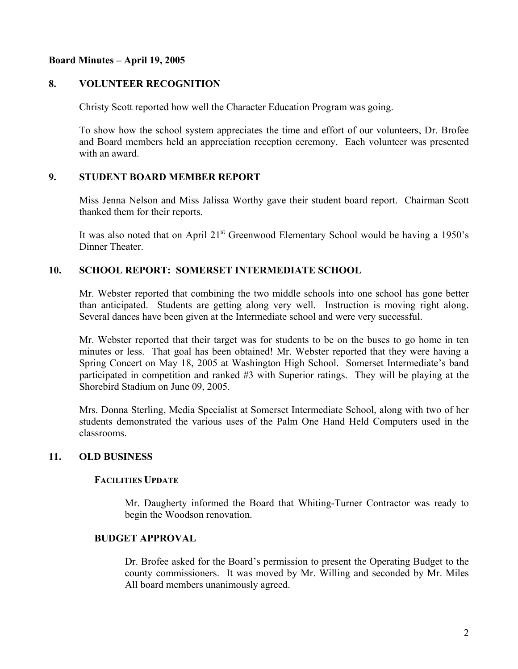# **Board Minutes – April 19, 2005**

# **8. VOLUNTEER RECOGNITION**

Christy Scott reported how well the Character Education Program was going.

 To show how the school system appreciates the time and effort of our volunteers, Dr. Brofee and Board members held an appreciation reception ceremony. Each volunteer was presented with an award.

# **9. STUDENT BOARD MEMBER REPORT**

Miss Jenna Nelson and Miss Jalissa Worthy gave their student board report. Chairman Scott thanked them for their reports.

It was also noted that on April  $21<sup>st</sup>$  Greenwood Elementary School would be having a 1950's Dinner Theater.

## **10. SCHOOL REPORT: SOMERSET INTERMEDIATE SCHOOL**

Mr. Webster reported that combining the two middle schools into one school has gone better than anticipated. Students are getting along very well. Instruction is moving right along. Several dances have been given at the Intermediate school and were very successful.

Mr. Webster reported that their target was for students to be on the buses to go home in ten minutes or less. That goal has been obtained! Mr. Webster reported that they were having a Spring Concert on May 18, 2005 at Washington High School. Somerset Intermediate's band participated in competition and ranked #3 with Superior ratings. They will be playing at the Shorebird Stadium on June 09, 2005.

Mrs. Donna Sterling, Media Specialist at Somerset Intermediate School, along with two of her students demonstrated the various uses of the Palm One Hand Held Computers used in the classrooms.

# **11. OLD BUSINESS**

## **FACILITIES UPDATE**

Mr. Daugherty informed the Board that Whiting-Turner Contractor was ready to begin the Woodson renovation.

## **BUDGET APPROVAL**

Dr. Brofee asked for the Board's permission to present the Operating Budget to the county commissioners. It was moved by Mr. Willing and seconded by Mr. Miles All board members unanimously agreed.